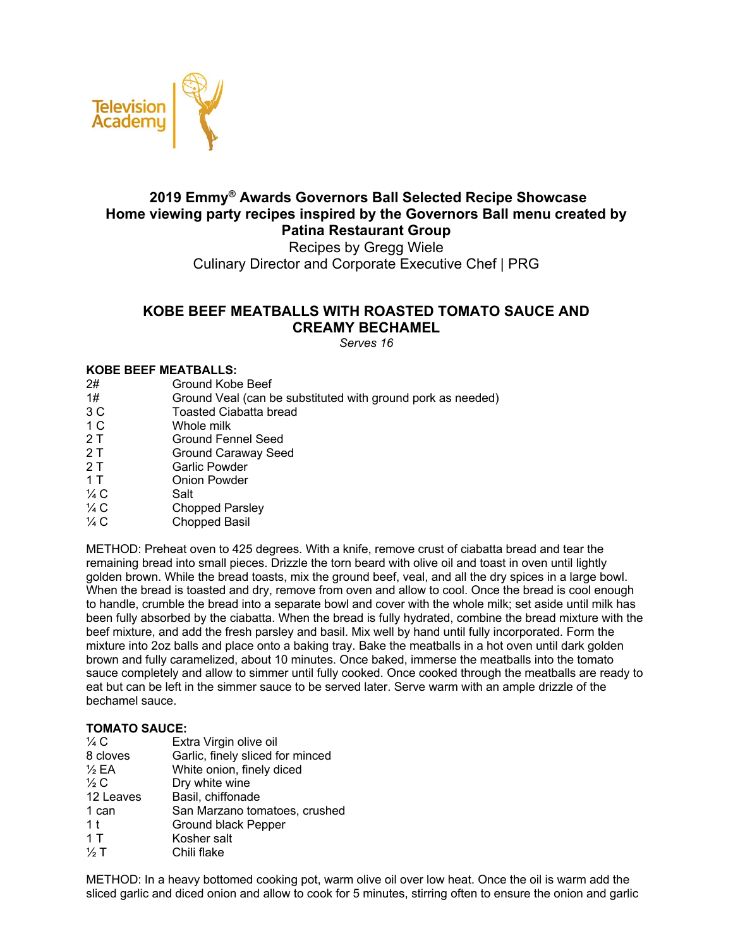

# **2019 Emmy® Awards Governors Ball Selected Recipe Showcase Home viewing party recipes inspired by the Governors Ball menu created by Patina Restaurant Group**

Recipes by Gregg Wiele Culinary Director and Corporate Executive Chef | PRG

## **KOBE BEEF MEATBALLS WITH ROASTED TOMATO SAUCE AND CREAMY BECHAMEL**

*Serves 16*

### **KOBE BEEF MEATBALLS:**

2# Ground Kobe Beef<br>1# Ground Veal (can b Ground Veal (can be substituted with ground pork as needed) 3 C Toasted Ciabatta bread 1 C Whole milk 2 T Ground Fennel Seed 2 T Ground Caraway Seed 2 T Garlic Powder 1 T Onion Powder  $\frac{1}{4}$  C Salt 1/4 C Chopped Parsley  $\frac{1}{4}$  C Chopped Basil

METHOD: Preheat oven to 425 degrees. With a knife, remove crust of ciabatta bread and tear the remaining bread into small pieces. Drizzle the torn beard with olive oil and toast in oven until lightly golden brown. While the bread toasts, mix the ground beef, veal, and all the dry spices in a large bowl. When the bread is toasted and dry, remove from oven and allow to cool. Once the bread is cool enough to handle, crumble the bread into a separate bowl and cover with the whole milk; set aside until milk has been fully absorbed by the ciabatta. When the bread is fully hydrated, combine the bread mixture with the beef mixture, and add the fresh parsley and basil. Mix well by hand until fully incorporated. Form the mixture into 2oz balls and place onto a baking tray. Bake the meatballs in a hot oven until dark golden brown and fully caramelized, about 10 minutes. Once baked, immerse the meatballs into the tomato sauce completely and allow to simmer until fully cooked. Once cooked through the meatballs are ready to eat but can be left in the simmer sauce to be served later. Serve warm with an ample drizzle of the bechamel sauce.

### **TOMATO SAUCE:**

| $\frac{1}{4}$ C | Extra Virgin olive oil           |
|-----------------|----------------------------------|
| 8 cloves        | Garlic, finely sliced for minced |
| $\frac{1}{2}EA$ | White onion, finely diced        |
| 1⁄2 C           | Dry white wine                   |
| 12 Leaves       | Basil, chiffonade                |
| 1 can           | San Marzano tomatoes, crushed    |
| 1 <sup>t</sup>  | Ground black Pepper              |
| 1T              | Kosher salt                      |
| $\frac{1}{2}$ T | Chili flake                      |
|                 |                                  |

METHOD: In a heavy bottomed cooking pot, warm olive oil over low heat. Once the oil is warm add the sliced garlic and diced onion and allow to cook for 5 minutes, stirring often to ensure the onion and garlic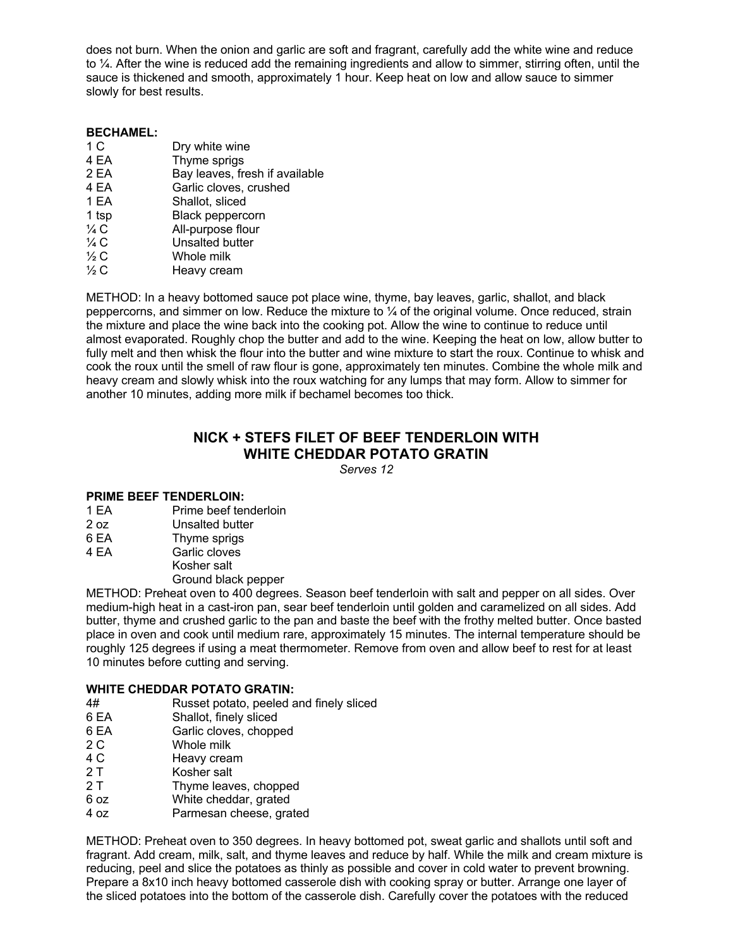does not burn. When the onion and garlic are soft and fragrant, carefully add the white wine and reduce to ¼. After the wine is reduced add the remaining ingredients and allow to simmer, stirring often, until the sauce is thickened and smooth, approximately 1 hour. Keep heat on low and allow sauce to simmer slowly for best results.

#### **BECHAMEL:**

| 1 C            | Dry white wine                 |
|----------------|--------------------------------|
| 4 EA           | Thyme sprigs                   |
| 2 EA           | Bay leaves, fresh if available |
| 4 EA           | Garlic cloves, crushed         |
| 1 EA           | Shallot, sliced                |
| 1 tsp          | <b>Black peppercorn</b>        |
| $\frac{1}{4}C$ | All-purpose flour              |
| $\frac{1}{4}C$ | Unsalted butter                |
| $\frac{1}{2}C$ | Whole milk                     |
| $\frac{1}{2}C$ | Heavy cream                    |

METHOD: In a heavy bottomed sauce pot place wine, thyme, bay leaves, garlic, shallot, and black peppercorns, and simmer on low. Reduce the mixture to ¼ of the original volume. Once reduced, strain the mixture and place the wine back into the cooking pot. Allow the wine to continue to reduce until almost evaporated. Roughly chop the butter and add to the wine. Keeping the heat on low, allow butter to fully melt and then whisk the flour into the butter and wine mixture to start the roux. Continue to whisk and cook the roux until the smell of raw flour is gone, approximately ten minutes. Combine the whole milk and heavy cream and slowly whisk into the roux watching for any lumps that may form. Allow to simmer for another 10 minutes, adding more milk if bechamel becomes too thick.

# **NICK + STEFS FILET OF BEEF TENDERLOIN WITH WHITE CHEDDAR POTATO GRATIN**

*Serves 12*

### **PRIME BEEF TENDERLOIN:**

- 1 EA Prime beef tenderloin
- 2 oz Unsalted butter
- 6 EA Thyme sprigs
- 4 EA Garlic cloves
	- Kosher salt

Ground black pepper

METHOD: Preheat oven to 400 degrees. Season beef tenderloin with salt and pepper on all sides. Over medium-high heat in a cast-iron pan, sear beef tenderloin until golden and caramelized on all sides. Add butter, thyme and crushed garlic to the pan and baste the beef with the frothy melted butter. Once basted place in oven and cook until medium rare, approximately 15 minutes. The internal temperature should be roughly 125 degrees if using a meat thermometer. Remove from oven and allow beef to rest for at least 10 minutes before cutting and serving.

### **WHITE CHEDDAR POTATO GRATIN:**

- 4# Russet potato, peeled and finely sliced
- 6 EA Shallot, finely sliced
- 6 EA Garlic cloves, chopped<br>2 C Whole milk
- Whole milk
- 4 C Heavy cream
- 2 T Kosher salt
- 2 T Thyme leaves, chopped
- 6 oz White cheddar, grated
- 4 oz Parmesan cheese, grated

METHOD: Preheat oven to 350 degrees. In heavy bottomed pot, sweat garlic and shallots until soft and fragrant. Add cream, milk, salt, and thyme leaves and reduce by half. While the milk and cream mixture is reducing, peel and slice the potatoes as thinly as possible and cover in cold water to prevent browning. Prepare a 8x10 inch heavy bottomed casserole dish with cooking spray or butter. Arrange one layer of the sliced potatoes into the bottom of the casserole dish. Carefully cover the potatoes with the reduced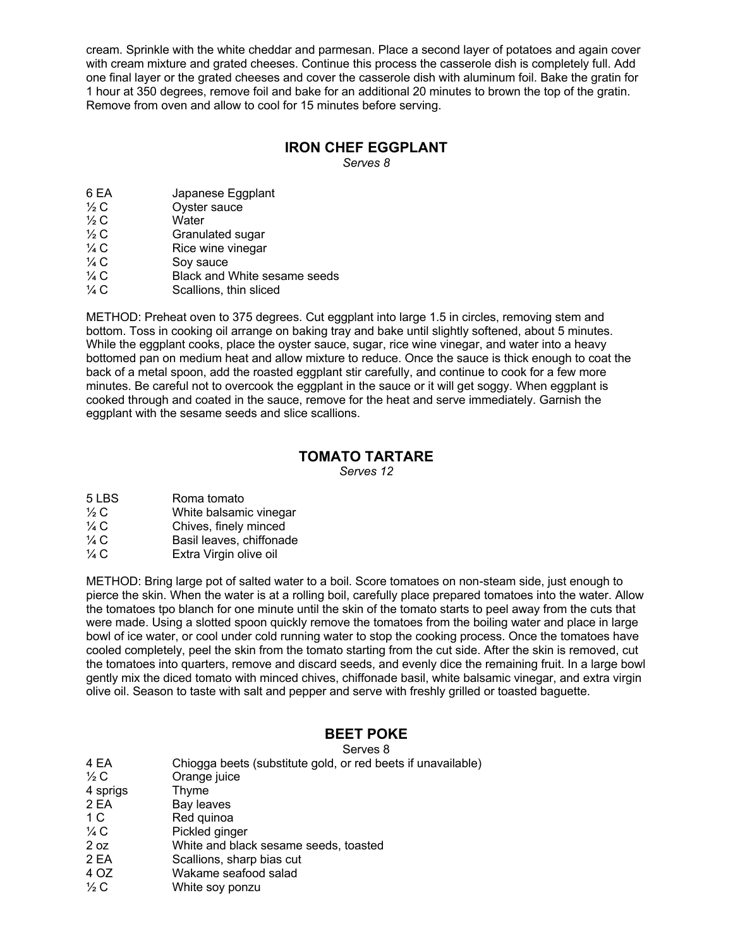cream. Sprinkle with the white cheddar and parmesan. Place a second layer of potatoes and again cover with cream mixture and grated cheeses. Continue this process the casserole dish is completely full. Add one final layer or the grated cheeses and cover the casserole dish with aluminum foil. Bake the gratin for 1 hour at 350 degrees, remove foil and bake for an additional 20 minutes to brown the top of the gratin. Remove from oven and allow to cool for 15 minutes before serving.

### **IRON CHEF EGGPLANT**

*Serves 8*

- 6 EA Japanese Eggplant
- $\frac{1}{2}$  C Oyster sauce
- $\frac{1}{2}$  C Water
- <sup>1/2</sup> C Granulated sugar
- $\frac{1}{4}$  C Rice wine vinegar
- $\frac{1}{4}$  C Soy sauce<br> $\frac{1}{4}$  C Black and \
- $\frac{1}{4}$  C Black and White sesame seeds<br> $\frac{1}{4}$  C Scallions, thin sliced
- Scallions, thin sliced

METHOD: Preheat oven to 375 degrees. Cut eggplant into large 1.5 in circles, removing stem and bottom. Toss in cooking oil arrange on baking tray and bake until slightly softened, about 5 minutes. While the eggplant cooks, place the oyster sauce, sugar, rice wine vinegar, and water into a heavy bottomed pan on medium heat and allow mixture to reduce. Once the sauce is thick enough to coat the back of a metal spoon, add the roasted eggplant stir carefully, and continue to cook for a few more minutes. Be careful not to overcook the eggplant in the sauce or it will get soggy. When eggplant is cooked through and coated in the sauce, remove for the heat and serve immediately. Garnish the eggplant with the sesame seeds and slice scallions.

### **TOMATO TARTARE**

*Serves 12*

| 5 LBS           | Roma tomato              |
|-----------------|--------------------------|
| $\frac{1}{2}C$  | White balsamic vinegar   |
| $\frac{1}{4}$ C | Chives, finely minced    |
| $\frac{1}{4}$ C | Basil leaves, chiffonade |
| $\frac{1}{4}$ C | Extra Virgin olive oil   |

METHOD: Bring large pot of salted water to a boil. Score tomatoes on non-steam side, just enough to pierce the skin. When the water is at a rolling boil, carefully place prepared tomatoes into the water. Allow the tomatoes tpo blanch for one minute until the skin of the tomato starts to peel away from the cuts that were made. Using a slotted spoon quickly remove the tomatoes from the boiling water and place in large bowl of ice water, or cool under cold running water to stop the cooking process. Once the tomatoes have cooled completely, peel the skin from the tomato starting from the cut side. After the skin is removed, cut the tomatoes into quarters, remove and discard seeds, and evenly dice the remaining fruit. In a large bowl gently mix the diced tomato with minced chives, chiffonade basil, white balsamic vinegar, and extra virgin olive oil. Season to taste with salt and pepper and serve with freshly grilled or toasted baguette.

# **BEET POKE**

Serves 8 4 EA Chiogga beets (substitute gold, or red beets if unavailable)  $\frac{1}{2}$  C Crange juice 4 sprigs Thyme 2 EA Bay leaves 1 C Red quinoa <sup>1/4</sup> C Pickled ginger 2 oz White and black sesame seeds, toasted 2 EA Scallions, sharp bias cut 4 OZ Wakame seafood salad  $\frac{1}{2}C$  White soy ponzu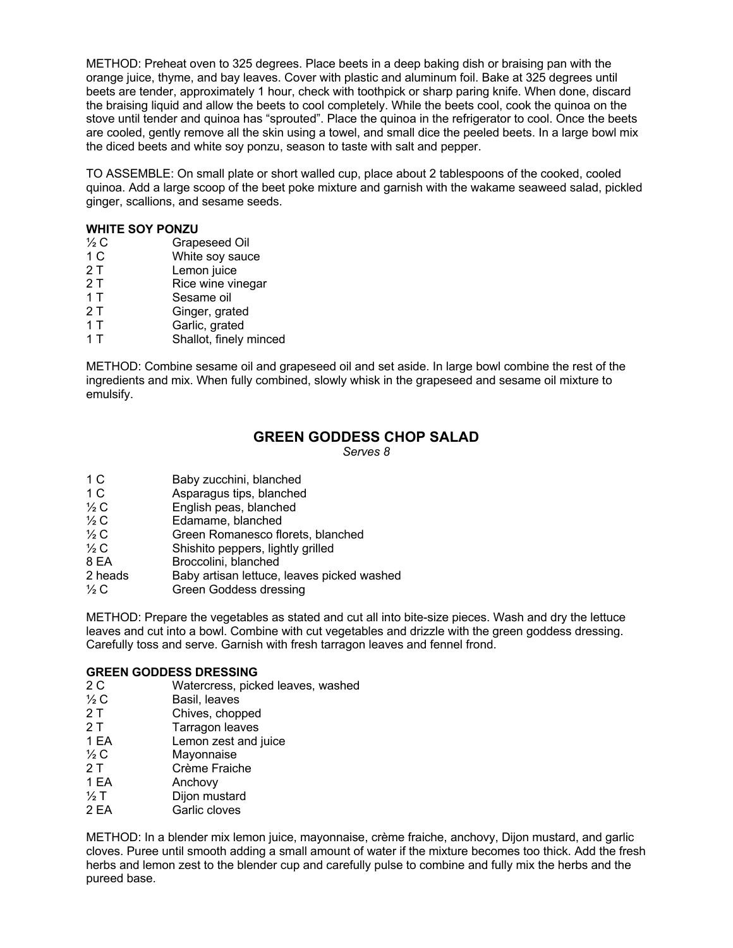METHOD: Preheat oven to 325 degrees. Place beets in a deep baking dish or braising pan with the orange juice, thyme, and bay leaves. Cover with plastic and aluminum foil. Bake at 325 degrees until beets are tender, approximately 1 hour, check with toothpick or sharp paring knife. When done, discard the braising liquid and allow the beets to cool completely. While the beets cool, cook the quinoa on the stove until tender and quinoa has "sprouted". Place the quinoa in the refrigerator to cool. Once the beets are cooled, gently remove all the skin using a towel, and small dice the peeled beets. In a large bowl mix the diced beets and white soy ponzu, season to taste with salt and pepper.

TO ASSEMBLE: On small plate or short walled cup, place about 2 tablespoons of the cooked, cooled quinoa. Add a large scoop of the beet poke mixture and garnish with the wakame seaweed salad, pickled ginger, scallions, and sesame seeds.

#### **WHITE SOY PONZU**

| 1⁄2 C          | Grapeseed Oil     |
|----------------|-------------------|
| 1 <sub>C</sub> | White soy sauce   |
| 2T             | Lemon juice       |
| 2 T            | Rice wine vinegar |
| 1 T            | Sesame oil        |
| 2 T            | Ginger, grated    |

- 1 T Garlic, grated
- 1 T Shallot, finely minced

METHOD: Combine sesame oil and grapeseed oil and set aside. In large bowl combine the rest of the ingredients and mix. When fully combined, slowly whisk in the grapeseed and sesame oil mixture to emulsify.

### **GREEN GODDESS CHOP SALAD**

*Serves 8*

- 1 C Asparagus tips, blanched
- ½ C English peas, blanched
- ½ C Edamame, blanched
- ½ C Green Romanesco florets, blanched ½ C Shishito peppers. lightly grilled
- Shishito peppers, lightly grilled
- 8 EA Broccolini, blanched
- 2 heads Baby artisan lettuce, leaves picked washed
- <sup>1/2</sup> C Green Goddess dressing

METHOD: Prepare the vegetables as stated and cut all into bite-size pieces. Wash and dry the lettuce leaves and cut into a bowl. Combine with cut vegetables and drizzle with the green goddess dressing. Carefully toss and serve. Garnish with fresh tarragon leaves and fennel frond.

### **GREEN GODDESS DRESSING**

- 2 C Watercress, picked leaves, washed<br>  $\frac{1}{2}$  C Basil. leaves
- <sup>1/2</sup> C Basil, leaves<br>2 T Chives. chop
- Chives, chopped
- 2 T Tarragon leaves
- 1 EA Lemon zest and juice
- $\frac{1}{2}$  C Mayonnaise
- 2 T Crème Fraiche
- 1 EA Anchovy
- <sup>1</sup>/<sub>2</sub> T Dijon mustard<br>2 EA Garlic cloves
- Garlic cloves

METHOD: In a blender mix lemon juice, mayonnaise, crème fraiche, anchovy, Dijon mustard, and garlic cloves. Puree until smooth adding a small amount of water if the mixture becomes too thick. Add the fresh herbs and lemon zest to the blender cup and carefully pulse to combine and fully mix the herbs and the pureed base.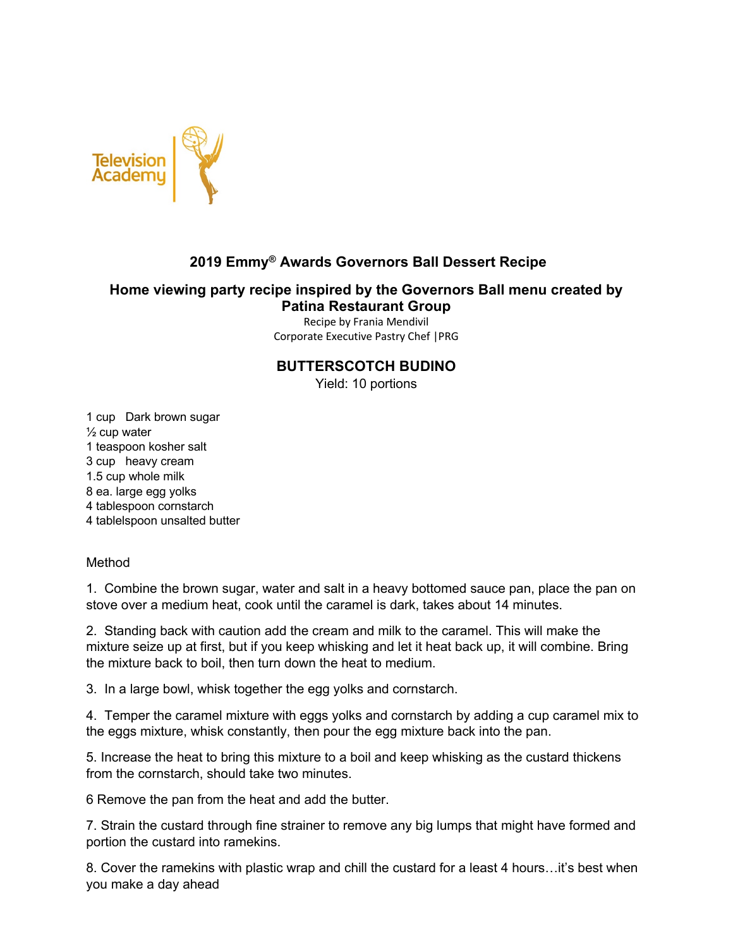

# **2019 Emmy® Awards Governors Ball Dessert Recipe**

# **Home viewing party recipe inspired by the Governors Ball menu created by Patina Restaurant Group**

Recipe by Frania Mendivil Corporate Executive Pastry Chef |PRG

## **BUTTERSCOTCH BUDINO**

Yield: 10 portions

1 cup Dark brown sugar  $\frac{1}{2}$  cup water 1 teaspoon kosher salt 3 cup heavy cream 1.5 cup whole milk 8 ea. large egg yolks 4 tablespoon cornstarch 4 tablelspoon unsalted butter

Method

1. Combine the brown sugar, water and salt in a heavy bottomed sauce pan, place the pan on stove over a medium heat, cook until the caramel is dark, takes about 14 minutes.

2. Standing back with caution add the cream and milk to the caramel. This will make the mixture seize up at first, but if you keep whisking and let it heat back up, it will combine. Bring the mixture back to boil, then turn down the heat to medium.

3. In a large bowl, whisk together the egg yolks and cornstarch.

4. Temper the caramel mixture with eggs yolks and cornstarch by adding a cup caramel mix to the eggs mixture, whisk constantly, then pour the egg mixture back into the pan.

5. Increase the heat to bring this mixture to a boil and keep whisking as the custard thickens from the cornstarch, should take two minutes.

6 Remove the pan from the heat and add the butter.

7. Strain the custard through fine strainer to remove any big lumps that might have formed and portion the custard into ramekins.

8. Cover the ramekins with plastic wrap and chill the custard for a least 4 hours…it's best when you make a day ahead